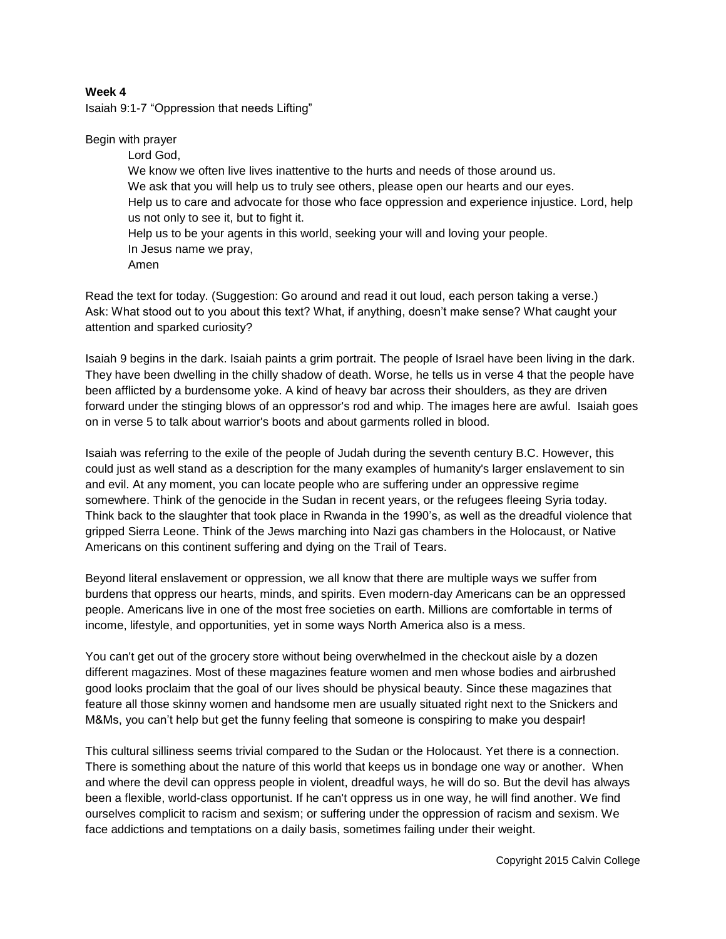## **Week 4**

Isaiah 9:1-7 "Oppression that needs Lifting"

Begin with prayer

Lord God, We know we often live lives inattentive to the hurts and needs of those around us. We ask that you will help us to truly see others, please open our hearts and our eyes. Help us to care and advocate for those who face oppression and experience injustice. Lord, help us not only to see it, but to fight it. Help us to be your agents in this world, seeking your will and loving your people. In Jesus name we pray, Amen

Read the text for today. (Suggestion: Go around and read it out loud, each person taking a verse.) Ask: What stood out to you about this text? What, if anything, doesn't make sense? What caught your attention and sparked curiosity?

Isaiah 9 begins in the dark. Isaiah paints a grim portrait. The people of Israel have been living in the dark. They have been dwelling in the chilly shadow of death. Worse, he tells us in verse 4 that the people have been afflicted by a burdensome yoke. A kind of heavy bar across their shoulders, as they are driven forward under the stinging blows of an oppressor's rod and whip. The images here are awful. Isaiah goes on in verse 5 to talk about warrior's boots and about garments rolled in blood.

Isaiah was referring to the exile of the people of Judah during the seventh century B.C. However, this could just as well stand as a description for the many examples of humanity's larger enslavement to sin and evil. At any moment, you can locate people who are suffering under an oppressive regime somewhere. Think of the genocide in the Sudan in recent years, or the refugees fleeing Syria today. Think back to the slaughter that took place in Rwanda in the 1990's, as well as the dreadful violence that gripped Sierra Leone. Think of the Jews marching into Nazi gas chambers in the Holocaust, or Native Americans on this continent suffering and dying on the Trail of Tears.

Beyond literal enslavement or oppression, we all know that there are multiple ways we suffer from burdens that oppress our hearts, minds, and spirits. Even modern-day Americans can be an oppressed people. Americans live in one of the most free societies on earth. Millions are comfortable in terms of income, lifestyle, and opportunities, yet in some ways North America also is a mess.

You can't get out of the grocery store without being overwhelmed in the checkout aisle by a dozen different magazines. Most of these magazines feature women and men whose bodies and airbrushed good looks proclaim that the goal of our lives should be physical beauty. Since these magazines that feature all those skinny women and handsome men are usually situated right next to the Snickers and M&Ms, you can't help but get the funny feeling that someone is conspiring to make you despair!

This cultural silliness seems trivial compared to the Sudan or the Holocaust. Yet there is a connection. There is something about the nature of this world that keeps us in bondage one way or another. When and where the devil can oppress people in violent, dreadful ways, he will do so. But the devil has always been a flexible, world-class opportunist. If he can't oppress us in one way, he will find another. We find ourselves complicit to racism and sexism; or suffering under the oppression of racism and sexism. We face addictions and temptations on a daily basis, sometimes failing under their weight.